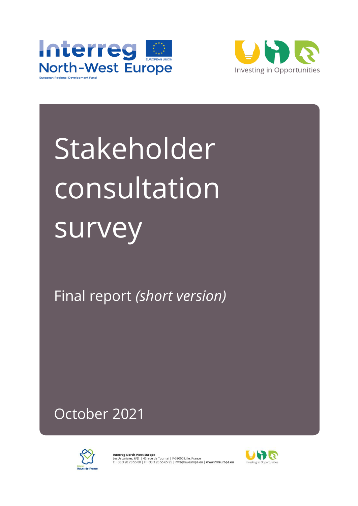



Stakeholder consultation survey

Final report *(short version)*

October 2021



**Interreg North-West Europe**<br>Les Arcuriales, 6/D | 45, rue de Tournai | F-59000 Lille, France<br>T: +33 3 20 78 55 00 | F: +33 3 20 55 65 95 | nwe@nweurope.eu | **www.nweurope.eu** 

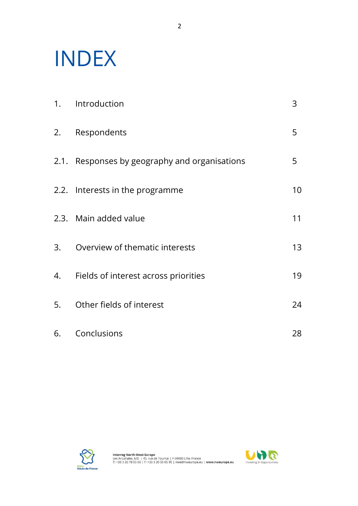# INDEX

|    | 1. Introduction                               | 3  |
|----|-----------------------------------------------|----|
|    | 2. Respondents                                | 5  |
|    | 2.1. Responses by geography and organisations | 5  |
|    | 2.2. Interests in the programme               | 10 |
|    | 2.3. Main added value                         | 11 |
|    | 3. Overview of thematic interests             | 13 |
|    | 4. Fields of interest across priorities       | 19 |
|    | 5. Other fields of interest                   | 24 |
| 6. | Conclusions                                   | 28 |



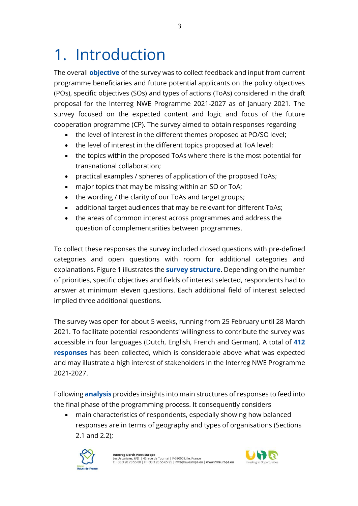## 1. Introduction

The overall **objective** of the survey was to collect feedback and input from current programme beneficiaries and future potential applicants on the policy objectives (POs), specific objectives (SOs) and types of actions (ToAs) considered in the draft proposal for the Interreg NWE Programme 2021-2027 as of January 2021. The survey focused on the expected content and logic and focus of the future cooperation programme (CP). The survey aimed to obtain responses regarding

- the level of interest in the different themes proposed at PO/SO level;
- the level of interest in the different topics proposed at ToA level;
- the topics within the proposed ToAs where there is the most potential for transnational collaboration;
- practical examples / spheres of application of the proposed ToAs;
- major topics that may be missing within an SO or ToA;
- the wording / the clarity of our ToAs and target groups;
- additional target audiences that may be relevant for different ToAs;
- the areas of common interest across programmes and address the question of complementarities between programmes.

To collect these responses the survey included closed questions with pre-defined categories and open questions with room for additional categories and explanations. Figure 1 illustrates the **survey structure**. Depending on the number of priorities, specific objectives and fields of interest selected, respondents had to answer at minimum eleven questions. Each additional field of interest selected implied three additional questions.

The survey was open for about 5 weeks, running from 25 February until 28 March 2021. To facilitate potential respondents' willingness to contribute the survey was accessible in four languages (Dutch, English, French and German). A total of **412 responses** has been collected, which is considerable above what was expected and may illustrate a high interest of stakeholders in the Interreg NWE Programme 2021-2027.

Following **analysis** provides insights into main structures of responses to feed into the final phase of the programming process. It consequently considers

• main characteristics of respondents, especially showing how balanced responses are in terms of geography and types of organisations (Sections 2.1 and 2.2);



**Interreg North-West Europe**<br>Les Arcuriales, 6/D | 45, rue de Tournai | F-59000 Lille, France<br>T: +33 3 20 78 55 00 | F: +33 3 20 55 65 95 | nwe@nweurope.eu | **www.nweurope.eu** 

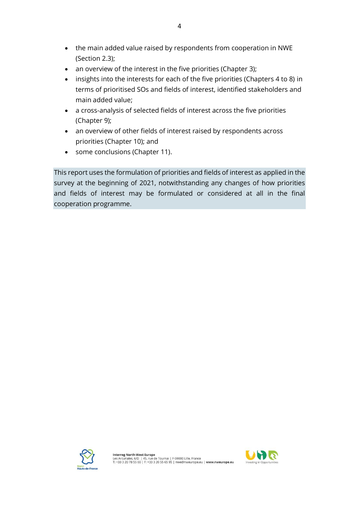- the main added value raised by respondents from cooperation in NWE (Section 2.3);
- an overview of the interest in the five priorities (Chapter 3);
- insights into the interests for each of the five priorities (Chapters 4 to 8) in terms of prioritised SOs and fields of interest, identified stakeholders and main added value;
- a cross-analysis of selected fields of interest across the five priorities (Chapter 9);
- an overview of other fields of interest raised by respondents across priorities (Chapter 10); and
- some conclusions (Chapter 11).

This report uses the formulation of priorities and fields of interest as applied in the survey at the beginning of 2021, notwithstanding any changes of how priorities and fields of interest may be formulated or considered at all in the final cooperation programme.



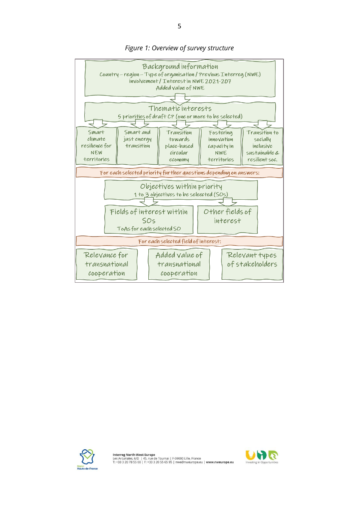

### *Figure 1: Overview of survey structure*



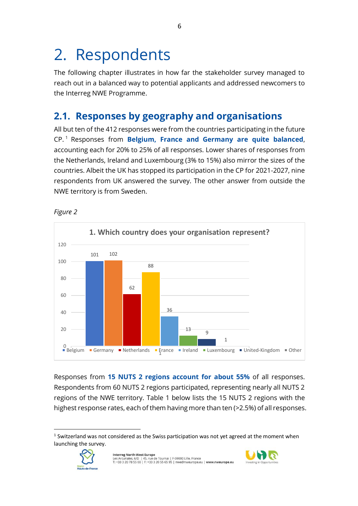## 2. Respondents

The following chapter illustrates in how far the stakeholder survey managed to reach out in a balanced way to potential applicants and addressed newcomers to the Interreg NWE Programme.

### **2.1. Responses by geography and organisations**

All but ten of the 412 responses were from the countries participating in the future CP. <sup>1</sup> Responses from **Belgium, France and Germany are quite balanced**, accounting each for 20% to 25% of all responses. Lower shares of responses from the Netherlands, Ireland and Luxembourg (3% to 15%) also mirror the sizes of the countries. Albeit the UK has stopped its participation in the CP for 2021-2027, nine respondents from UK answered the survey. The other answer from outside the NWE territory is from Sweden.



*Figure 2*

Responses from **15 NUTS 2 regions account for about 55%** of all responses. Respondents from 60 NUTS 2 regions participated, representing nearly all NUTS 2 regions of the NWE territory. Table 1 below lists the 15 NUTS 2 regions with the highest response rates, each of them having more than ten (>2.5%) of all responses.

 $<sup>1</sup>$  Switzerland was not considered as the Swiss participation was not yet agreed at the moment when</sup> launching the survey.



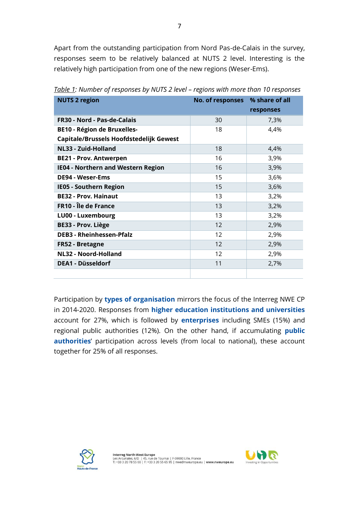Apart from the outstanding participation from Nord Pas-de-Calais in the survey, responses seem to be relatively balanced at NUTS 2 level. Interesting is the relatively high participation from one of the new regions (Weser-Ems).

| <b>NUTS 2 region</b>                      | No. of responses % share of all |           |
|-------------------------------------------|---------------------------------|-----------|
|                                           |                                 | responses |
| FR30 - Nord - Pas-de-Calais               | 30                              | 7,3%      |
| <b>BE10 - Région de Bruxelles-</b>        | 18                              | 4,4%      |
| Capitale/Brussels Hoofdstedelijk Gewest   |                                 |           |
| NL33 - Zuid-Holland                       | 18                              | 4,4%      |
| <b>BE21 - Prov. Antwerpen</b>             | 16                              | 3,9%      |
| <b>IE04 - Northern and Western Region</b> | 16                              | 3,9%      |
| <b>DE94 - Weser-Ems</b>                   | 15                              | 3,6%      |
| <b>IE05 - Southern Region</b>             | 15                              | 3,6%      |
| <b>BE32 - Prov. Hainaut</b>               | 13                              | 3,2%      |
| <b>FR10 - Île de France</b>               | 13                              | 3,2%      |
| LU00 - Luxembourg                         | 13                              | 3,2%      |
| BE33 - Prov. Liège                        | 12                              | 2,9%      |
| <b>DEB3 - Rheinhessen-Pfalz</b>           | $12 \overline{ }$               | 2,9%      |
| FR52 - Bretagne                           | 12                              | 2,9%      |
| <b>NL32 - Noord-Holland</b>               | 12                              | 2,9%      |
| <b>DEA1 - Düsseldorf</b>                  | 11                              | 2,7%      |
|                                           |                                 |           |

*Table 1: Number of responses by NUTS 2 level – regions with more than 10 responses*

Participation by **types of organisation** mirrors the focus of the Interreg NWE CP in 2014-2020. Responses from **higher education institutions and universities** account for 27%, which is followed by **enterprises** including SMEs (15%) and regional public authorities (12%). On the other hand, if accumulating **public authorities**' participation across levels (from local to national), these account together for 25% of all responses.



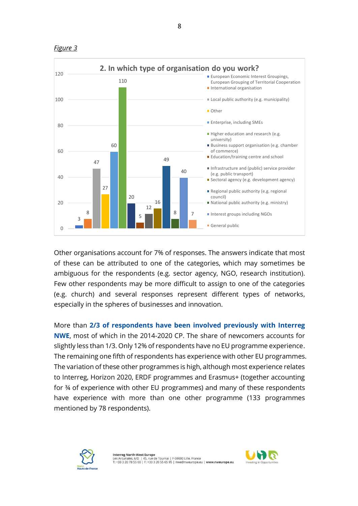

*Figure 3*

Other organisations account for 7% of responses. The answers indicate that most of these can be attributed to one of the categories, which may sometimes be ambiguous for the respondents (e.g. sector agency, NGO, research institution). Few other respondents may be more difficult to assign to one of the categories (e.g. church) and several responses represent different types of networks, especially in the spheres of businesses and innovation.

More than **2/3 of respondents have been involved previously with Interreg NWE**, most of which in the 2014-2020 CP. The share of newcomers accounts for slightly less than 1/3. Only 12% of respondents have no EU programme experience. The remaining one fifth of respondents has experience with other EU programmes. The variation of these other programmes is high, although most experience relates to Interreg, Horizon 2020, ERDF programmes and Erasmus+ (together accounting for ¾ of experience with other EU programmes) and many of these respondents have experience with more than one other programme (133 programmes mentioned by 78 respondents).



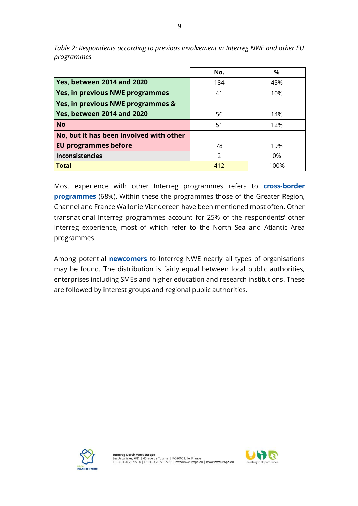|                                         | No.           | %    |
|-----------------------------------------|---------------|------|
| <b>Yes, between 2014 and 2020</b>       | 184           | 45%  |
| Yes, in previous NWE programmes         | 41            | 10%  |
| Yes, in previous NWE programmes &       |               |      |
| <b>Yes, between 2014 and 2020</b>       | 56            | 14%  |
| <b>No</b>                               | 51            | 12%  |
| No, but it has been involved with other |               |      |
| <b>EU programmes before</b>             | 78            | 19%  |
| <b>Inconsistencies</b>                  | $\mathcal{P}$ | 0%   |
| <b>Total</b>                            | 412           | 100% |

*Table 2: Respondents according to previous involvement in Interreg NWE and other EU programmes*

 $\mathbf{r}$ 

Most experience with other Interreg programmes refers to **cross-border programmes** (68%). Within these the programmes those of the Greater Region, Channel and France Wallonie Vlandereen have been mentioned most often. Other transnational Interreg programmes account for 25% of the respondents' other Interreg experience, most of which refer to the North Sea and Atlantic Area programmes.

Among potential **newcomers** to Interreg NWE nearly all types of organisations may be found. The distribution is fairly equal between local public authorities, enterprises including SMEs and higher education and research institutions. These are followed by interest groups and regional public authorities.



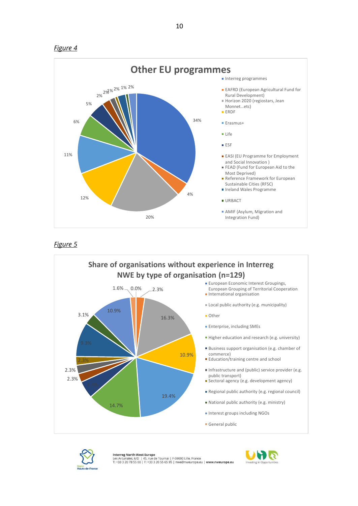



#### *Figure 5*





**Interreg North-West Europe**<br>Les Arcuriales, 6/D | 45, rue de Tournai | F-59000 Lille, France<br>T: +33 3 20 78 55 00 | F: +33 3 20 55 65 95 | nwe@nweurope.eu | **www.nweurope.eu** 

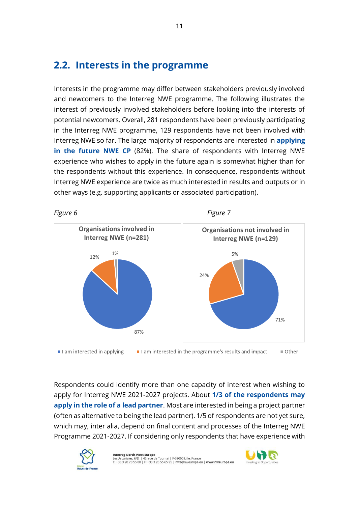### **2.2. Interests in the programme**

Interests in the programme may differ between stakeholders previously involved and newcomers to the Interreg NWE programme. The following illustrates the interest of previously involved stakeholders before looking into the interests of potential newcomers. Overall, 281 respondents have been previously participating in the Interreg NWE programme, 129 respondents have not been involved with Interreg NWE so far. The large majority of respondents are interested in **applying in the future NWE CP** (82%). The share of respondents with Interreg NWE experience who wishes to apply in the future again is somewhat higher than for the respondents without this experience. In consequence, respondents without Interreg NWE experience are twice as much interested in results and outputs or in other ways (e.g. supporting applicants or associated participation).



I am interested in applying I am interested in the programme's results and impact ■ Other

Respondents could identify more than one capacity of interest when wishing to apply for Interreg NWE 2021-2027 projects. About **1/3 of the respondents may apply in the role of a lead partner**. Most are interested in being a project partner (often as alternative to being the lead partner). 1/5 of respondents are not yet sure, which may, inter alia, depend on final content and processes of the Interreg NWE Programme 2021-2027. If considering only respondents that have experience with



**Interreg North-West Europe**<br>Les Arcuriales, 6/D | 45, rue de Tournai | F-59000 Lille, France<br>T: +33 3 20 78 55 00 | F: +33 3 20 55 65 95 | nwe@nweurope.eu | **www.nweurope.eu** 

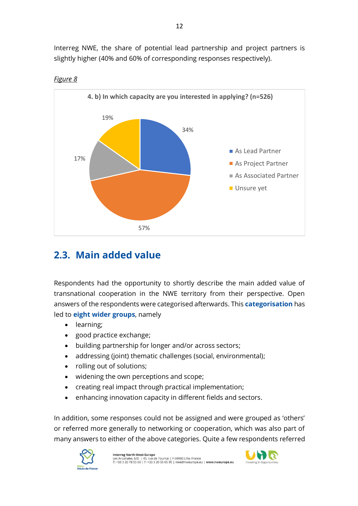Interreg NWE, the share of potential lead partnership and project partners is slightly higher (40% and 60% of corresponding responses respectively).



### *Figure 8*

### **2.3. Main added value**

Respondents had the opportunity to shortly describe the main added value of transnational cooperation in the NWE territory from their perspective. Open answers of the respondents were categorised afterwards. This **categorisation** has led to **eight wider groups**, namely

- learning;
- good practice exchange;
- building partnership for longer and/or across sectors;
- addressing (joint) thematic challenges (social, environmental);
- rolling out of solutions;
- widening the own perceptions and scope;
- creating real impact through practical implementation;
- enhancing innovation capacity in different fields and sectors.

In addition, some responses could not be assigned and were grouped as 'others' or referred more generally to networking or cooperation, which was also part of many answers to either of the above categories. Quite a few respondents referred



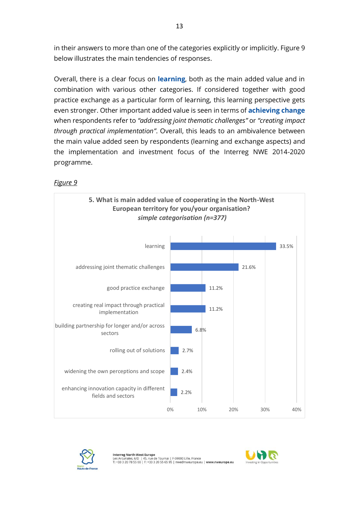in their answers to more than one of the categories explicitly or implicitly. Figure 9 below illustrates the main tendencies of responses.

Overall, there is a clear focus on **learning**, both as the main added value and in combination with various other categories. If considered together with good practice exchange as a particular form of learning, this learning perspective gets even stronger. Other important added value is seen in terms of **achieving change** when respondents refer to *"addressing joint thematic challenges"* or *"creating impact through practical implementation"*. Overall, this leads to an ambivalence between the main value added seen by respondents (learning and exchange aspects) and the implementation and investment focus of the Interreg NWE 2014-2020 programme.

### *Figure 9*





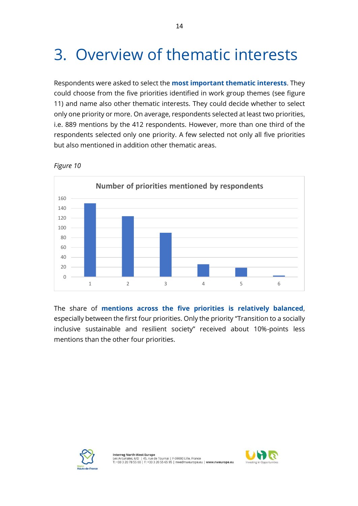## 3. Overview of thematic interests

Respondents were asked to select the **most important thematic interests**. They could choose from the five priorities identified in work group themes (see figure 11) and name also other thematic interests. They could decide whether to select only one priority or more. On average, respondents selected at least two priorities, i.e. 889 mentions by the 412 respondents. However, more than one third of the respondents selected only one priority. A few selected not only all five priorities but also mentioned in addition other thematic areas.



*Figure 10*

The share of **mentions across the five priorities is relatively balanced**, especially between the first four priorities. Only the priority "Transition to a socially inclusive sustainable and resilient society" received about 10%-points less mentions than the other four priorities.



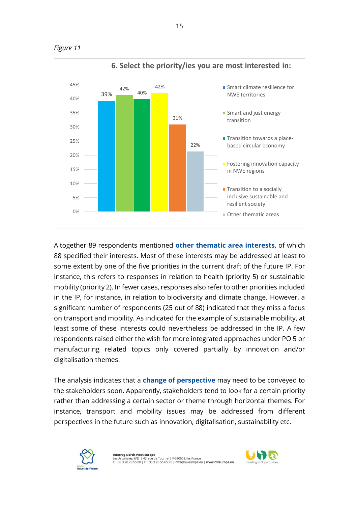



Altogether 89 respondents mentioned **other thematic area interests**, of which 88 specified their interests. Most of these interests may be addressed at least to some extent by one of the five priorities in the current draft of the future IP. For instance, this refers to responses in relation to health (priority 5) or sustainable mobility (priority 2). In fewer cases, responses also refer to other priorities included in the IP, for instance, in relation to biodiversity and climate change. However, a significant number of respondents (25 out of 88) indicated that they miss a focus on transport and mobility. As indicated for the example of sustainable mobility, at least some of these interests could nevertheless be addressed in the IP. A few respondents raised either the wish for more integrated approaches under PO 5 or manufacturing related topics only covered partially by innovation and/or digitalisation themes.

The analysis indicates that a **change of perspective** may need to be conveyed to the stakeholders soon. Apparently, stakeholders tend to look for a certain priority rather than addressing a certain sector or theme through horizontal themes. For instance, transport and mobility issues may be addressed from different perspectives in the future such as innovation, digitalisation, sustainability etc.



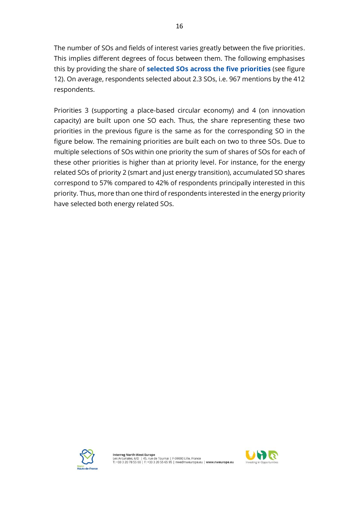The number of SOs and fields of interest varies greatly between the five priorities. This implies different degrees of focus between them. The following emphasises this by providing the share of **selected SOs across the five priorities** (see figure 12). On average, respondents selected about 2.3 SOs, i.e. 967 mentions by the 412 respondents.

Priorities 3 (supporting a place-based circular economy) and 4 (on innovation capacity) are built upon one SO each. Thus, the share representing these two priorities in the previous figure is the same as for the corresponding SO in the figure below. The remaining priorities are built each on two to three SOs. Due to multiple selections of SOs within one priority the sum of shares of SOs for each of these other priorities is higher than at priority level. For instance, for the energy related SOs of priority 2 (smart and just energy transition), accumulated SO shares correspond to 57% compared to 42% of respondents principally interested in this priority. Thus, more than one third of respondents interested in the energy priority have selected both energy related SOs.



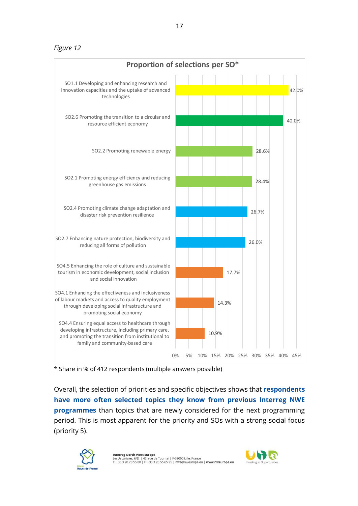*Figure 12*



<sup>\*</sup> Share in % of 412 respondents (multiple answers possible)

Overall, the selection of priorities and specific objectives shows that **respondents have more often selected topics they know from previous Interreg NWE programmes** than topics that are newly considered for the next programming period. This is most apparent for the priority and SOs with a strong social focus (priority 5).



I**nterreg North-West Europe**<br>Les Arcuriales, 6/D | 45, rue de Tournai | F-59000 Lille, France<br>T: +33 3 20 78 55 00 | F: +33 3 20 55 65 95 | nwe@nweurope.eu | **www.nweurope.eu** 

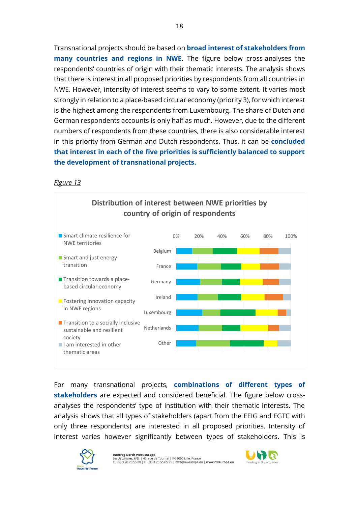Transnational projects should be based on **broad interest of stakeholders from many countries and regions in NWE**. The figure below cross-analyses the respondents' countries of origin with their thematic interests. The analysis shows that there is interest in all proposed priorities by respondents from all countries in NWE. However, intensity of interest seems to vary to some extent. It varies most strongly in relation to a place-based circular economy (priority 3), for which interest is the highest among the respondents from Luxembourg. The share of Dutch and German respondents accounts is only half as much. However, due to the different numbers of respondents from these countries, there is also considerable interest in this priority from German and Dutch respondents. Thus, it can be **concluded that interest in each of the five priorities is sufficiently balanced to support the development of transnational projects.**

### *Figure 13*



For many transnational projects, **combinations of different types of stakeholders** are expected and considered beneficial. The figure below crossanalyses the respondents' type of institution with their thematic interests. The analysis shows that all types of stakeholders (apart from the EEIG and EGTC with only three respondents) are interested in all proposed priorities. Intensity of interest varies however significantly between types of stakeholders. This is



**Interreg North-West Europe**<br>Les Arcuriales, 6/D | 45, rue de Tournai | F-59000 Lille, France<br>T: +33 3 20 78 55 00 | F: +33 3 20 55 65 95 | nwe@nweurope.eu | **www.nweurope.eu** 

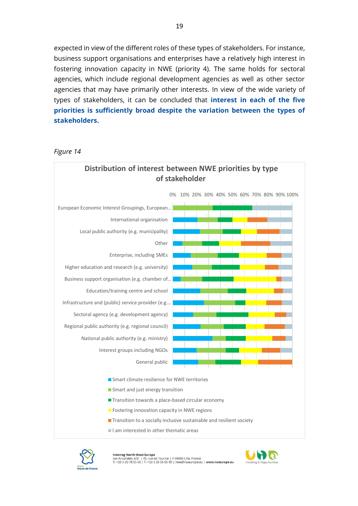expected in view of the different roles of these types of stakeholders. For instance, business support organisations and enterprises have a relatively high interest in fostering innovation capacity in NWE (priority 4). The same holds for sectoral agencies, which include regional development agencies as well as other sector agencies that may have primarily other interests. In view of the wide variety of types of stakeholders, it can be concluded that **interest in each of the five priorities is sufficiently broad despite the variation between the types of stakeholders.**

#### *Figure 14*





**Interreg North-West Europe**<br>Les Arcuriales, 6/D | 45, rue de Tournai | F-59000 Lille, France<br>T: +33 3 20 78 55 00 | F: +33 3 20 55 65 95 | nwe@nweurope.eu | **www.nweurope.eu** 

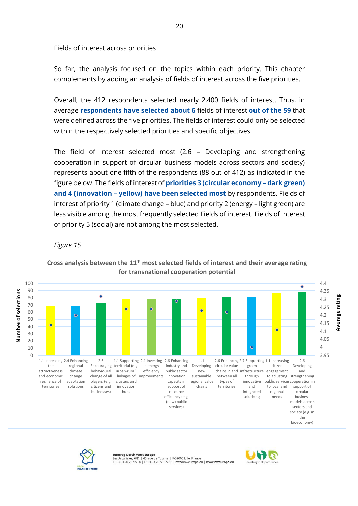Fields of interest across priorities

So far, the analysis focused on the topics within each priority. This chapter complements by adding an analysis of fields of interest across the five priorities.

Overall, the 412 respondents selected nearly 2,400 fields of interest. Thus, in average **respondents have selected about 6** fields of interest **out of the 59** that were defined across the five priorities. The fields of interest could only be selected within the respectively selected priorities and specific objectives.

The field of interest selected most (2.6 – Developing and strengthening cooperation in support of circular business models across sectors and society) represents about one fifth of the respondents (88 out of 412) as indicated in the figure below. The fields of interest of **priorities 3 (circular economy – dark green) and 4 (innovation – yellow) have been selected most** by respondents. Fields of interest of priority 1 (climate change – blue) and priority 2 (energy – light green) are less visible among the most frequently selected Fields of interest. Fields of interest of priority 5 (social) are not among the most selected.

### *Figure 15*

**for transnational cooperation potential** 100 4.4 90 4.35 Number of selections **Number of selections** rating 80 **Average rating** 4.3 70 4.25  $\overline{c}$ ċ Ċ 60  $\circ$ Average 4.2 50 4.15 r 40 C 4.1 30 4.05 20 10 4  $\Omega$ 3.95 2.6 1.1 2.6 1.1 Increasing 2.4 Enhancing 1.1 Supporting 2.1 Investing 2.6 Enhancing 2.6 Enhancing 2.7 Supporting 1.1 Increasing the regional industry and green citizen Developing Encouraging territorial (e.g. in energy Developing circular value efficiency public sector attractiveness climate behavioural urban-rural) and new chains in and infrastructure engagement change through and economic change of all sustainable between all linkages of improvements innovation to adjusting strengthening resilience of adaptation players (e.g. clusters and types of capacity in regional value innovative public services cooperation in territories solutions citizens and innovation support of territories and to local and support of chains businesses) hubs resource integrated regional circular efficiency (e.g. solutions; needs business (new) public models across services) sectors and society (e.g. in the bioeconomy)

**Cross analysis between the 11\* most selected fields of interest and their average rating** 



#### **Interreg North-West Europe**

iales 6/D | 45 rue de Tournai | E-59000 Lille. France es Archites, 675 | 45, 1de de Tournal | 1-55666 Ellie, France<br>T: +33 3 20 78 55 00 | F: +33 3 20 55 65 95 | nwe@nweurope.eu | www.nweurope.eu

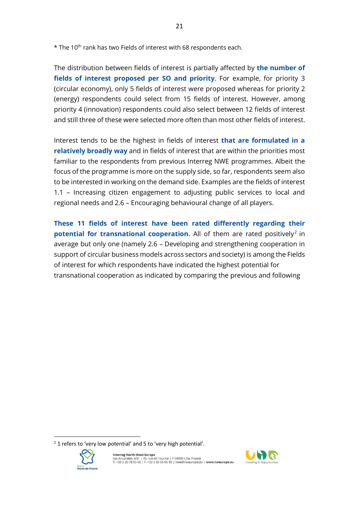\* The 10th rank has two Fields of interest with 68 respondents each.

The distribution between fields of interest is partially affected by **the number of fields of interest proposed per SO and priority**. For example, for priority 3 (circular economy), only 5 fields of interest were proposed whereas for priority 2 (energy) respondents could select from 15 fields of interest. However, among priority 4 (innovation) respondents could also select between 12 fields of interest and still three of these were selected more often than most other fields of interest.

Interest tends to be the highest in fields of interest **that are formulated in a relatively broadly way** and in fields of interest that are within the priorities most familiar to the respondents from previous Interreg NWE programmes. Albeit the focus of the programme is more on the supply side, so far, respondents seem also to be interested in working on the demand side. Examples are the fields of interest 1.1 – Increasing citizen engagement to adjusting public services to local and regional needs and 2.6 – Encouraging behavioural change of all players.

**These 11 fields of interest have been rated differently regarding their potential for transnational cooperation.** All of them are rated positively<sup>2</sup> in average but only one (namely 2.6 – Developing and strengthening cooperation in support of circular business models across sectors and society) is among the Fields of interest for which respondents have indicated the highest potential for transnational cooperation as indicated by comparing the previous and following

 $2$  1 refers to 'very low potential' and 5 to 'very high potential'.



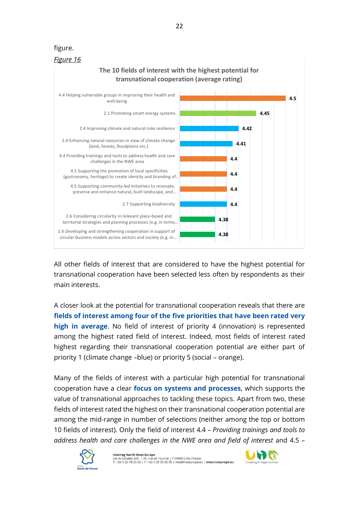### figure.



All other fields of interest that are considered to have the highest potential for transnational cooperation have been selected less often by respondents as their main interests.

A closer look at the potential for transnational cooperation reveals that there are **fields of interest among four of the five priorities that have been rated very high in average**. No field of interest of priority 4 (innovation) is represented among the highest rated field of interest. Indeed, most fields of interest rated highest regarding their transnational cooperation potential are either part of priority 1 (climate change –blue) or priority 5 (social – orange).

Many of the fields of interest with a particular high potential for transnational cooperation have a clear **focus on systems and processes**, which supports the value of transnational approaches to tackling these topics. Apart from two, these fields of interest rated the highest on their transnational cooperation potential are among the mid-range in number of selections (neither among the top or bottom 10 fields of interest). Only the field of interest 4.4 – *Providing trainings and tools to address health and care challenges in the NWE area and field of interest* and 4.5 –



**Interreg North-West Europe** ncerreg worn-west curope<br>es Arcuriales, 6/D | 45, rue de Tournai | F-59000 Lille, France<br>: +33 3 20 78 55 00 | F: +33 3 20 55 65 95 | nwe@nweurope.eu | <mark>www.nweurope.eu</mark>

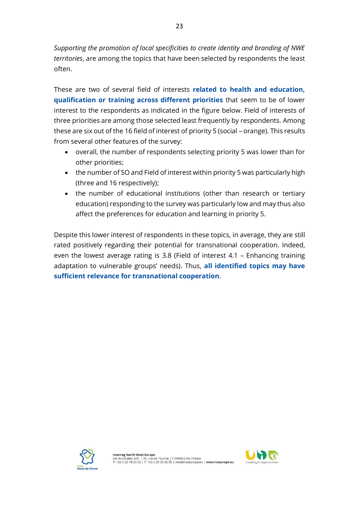*Supporting the promotion of local specificities to create identity and branding of NWE territories*, are among the topics that have been selected by respondents the least often.

These are two of several field of interests **related to health and education, qualification or training across different priorities** that seem to be of lower interest to the respondents as indicated in the figure below. Field of interests of three priorities are among those selected least frequently by respondents. Among these are six out of the 16 field of interest of priority 5 (social – orange). This results from several other features of the survey:

- overall, the number of respondents selecting priority 5 was lower than for other priorities;
- the number of SO and Field of interest within priority 5 was particularly high (three and 16 respectively);
- the number of educational institutions (other than research or tertiary education) responding to the survey was particularly low and may thus also affect the preferences for education and learning in priority 5.

Despite this lower interest of respondents in these topics, in average, they are still rated positively regarding their potential for transnational cooperation. Indeed, even the lowest average rating is 3.8 (Field of interest 4.1 – Enhancing training adaptation to vulnerable groups' needs). Thus, **all identified topics may have sufficient relevance for transnational cooperation**.



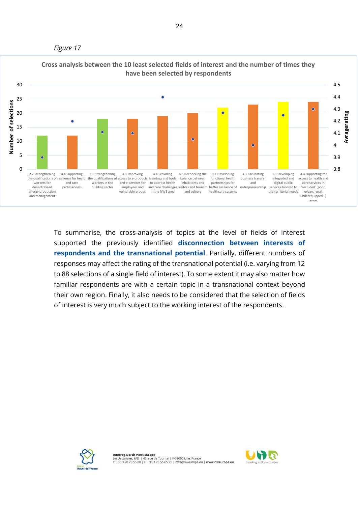#### *Figure 17*



### To summarise, the cross-analysis of topics at the level of fields of interest supported the previously identified **disconnection between interests of respondents and the transnational potential**. Partially, different numbers of responses may affect the rating of the transnational potential (i.e. varying from 12 to 88 selections of a single field of interest). To some extent it may also matter how familiar respondents are with a certain topic in a transnational context beyond their own region. Finally, it also needs to be considered that the selection of fields of interest is very much subject to the working interest of the respondents.



**Interreg North-West Europe** Interreg word-west curope<br>Les Arcuriales, 6/D | 45, rue de Tournai | F-59000 Lille, France<br>T: +33 3 20 78 55 00 | F: +33 3 20 55 65 95 | nwe@nweurope.eu | www.nweurope.eu

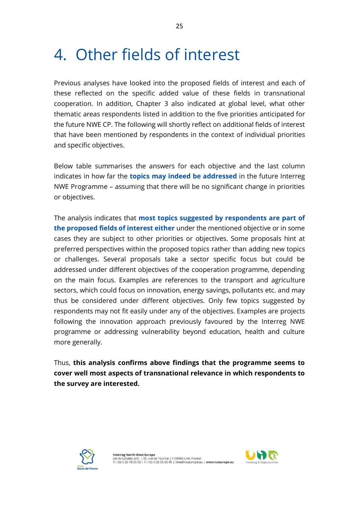## 4. Other fields of interest

Previous analyses have looked into the proposed fields of interest and each of these reflected on the specific added value of these fields in transnational cooperation. In addition, Chapter 3 also indicated at global level, what other thematic areas respondents listed in addition to the five priorities anticipated for the future NWE CP. The following will shortly reflect on additional fields of interest that have been mentioned by respondents in the context of individual priorities and specific objectives.

Below table summarises the answers for each objective and the last column indicates in how far the **topics may indeed be addressed** in the future Interreg NWE Programme – assuming that there will be no significant change in priorities or objectives.

The analysis indicates that **most topics suggested by respondents are part of the proposed fields of interest either** under the mentioned objective or in some cases they are subject to other priorities or objectives. Some proposals hint at preferred perspectives within the proposed topics rather than adding new topics or challenges. Several proposals take a sector specific focus but could be addressed under different objectives of the cooperation programme, depending on the main focus. Examples are references to the transport and agriculture sectors, which could focus on innovation, energy savings, pollutants etc. and may thus be considered under different objectives. Only few topics suggested by respondents may not fit easily under any of the objectives. Examples are projects following the innovation approach previously favoured by the Interreg NWE programme or addressing vulnerability beyond education, health and culture more generally.

Thus, **this analysis confirms above findings that the programme seems to cover well most aspects of transnational relevance in which respondents to the survey are interested.**



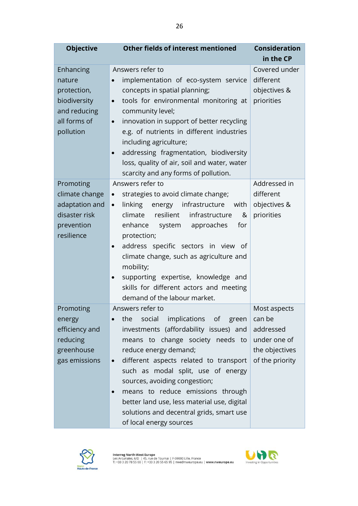| <b>Objective</b>                                                                                | <b>Other fields of interest mentioned</b>                                                                                                                                                                                                                                                                                                                                                                                                                                               | <b>Consideration</b><br>in the CP                                                        |
|-------------------------------------------------------------------------------------------------|-----------------------------------------------------------------------------------------------------------------------------------------------------------------------------------------------------------------------------------------------------------------------------------------------------------------------------------------------------------------------------------------------------------------------------------------------------------------------------------------|------------------------------------------------------------------------------------------|
| Enhancing<br>nature<br>protection,<br>biodiversity<br>and reducing<br>all forms of<br>pollution | Answers refer to<br>implementation of eco-system service<br>$\bullet$<br>concepts in spatial planning;<br>tools for environmental monitoring at<br>$\bullet$<br>community level;<br>innovation in support of better recycling<br>$\bullet$<br>e.g. of nutrients in different industries<br>including agriculture;<br>addressing fragmentation, biodiversity<br>$\bullet$<br>loss, quality of air, soil and water, water<br>scarcity and any forms of pollution.                         | Covered under<br>different<br>objectives &<br>priorities                                 |
| Promoting<br>climate change<br>adaptation and<br>disaster risk<br>prevention<br>resilience      | Answers refer to<br>strategies to avoid climate change;<br>$\bullet$<br>energy infrastructure<br>linking<br>with<br>$\bullet$<br>resilient infrastructure<br>climate<br>&<br>system approaches<br>for<br>enhance<br>protection;<br>address specific sectors in view of<br>$\bullet$<br>climate change, such as agriculture and<br>mobility;<br>supporting expertise, knowledge and<br>$\bullet$<br>skills for different actors and meeting<br>demand of the labour market.              | Addressed in<br>different<br>objectives &<br>priorities                                  |
| Promoting<br>energy<br>efficiency and<br>reducing<br>greenhouse<br>gas emissions                | Answers refer to<br>implications of<br>social<br>the<br>green<br>$\bullet$<br>investments (affordability issues) and<br>means to change society needs to<br>reduce energy demand;<br>different aspects related to transport<br>$\bullet$<br>such as modal split, use of energy<br>sources, avoiding congestion;<br>means to reduce emissions through<br>$\bullet$<br>better land use, less material use, digital<br>solutions and decentral grids, smart use<br>of local energy sources | Most aspects<br>can be<br>addressed<br>under one of<br>the objectives<br>of the priority |



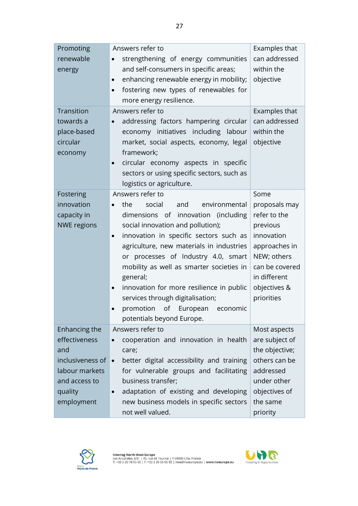| Promoting<br>renewable<br>energy<br>Transition<br>towards a<br>place-based<br>circular<br>economy                     | Answers refer to<br>strengthening of energy communities<br>$\bullet$<br>and self-consumers in specific areas;<br>enhancing renewable energy in mobility;<br>$\bullet$<br>fostering new types of renewables for<br>$\bullet$<br>more energy resilience.<br>Answers refer to<br>addressing factors hampering circular<br>economy initiatives including labour<br>market, social aspects, economy, legal<br>framework;                                                                                       | Examples that<br>can addressed<br>within the<br>objective<br>Examples that<br>can addressed<br>within the<br>objective                                          |
|-----------------------------------------------------------------------------------------------------------------------|-----------------------------------------------------------------------------------------------------------------------------------------------------------------------------------------------------------------------------------------------------------------------------------------------------------------------------------------------------------------------------------------------------------------------------------------------------------------------------------------------------------|-----------------------------------------------------------------------------------------------------------------------------------------------------------------|
|                                                                                                                       | circular economy aspects in specific<br>$\bullet$<br>sectors or using specific sectors, such as<br>logistics or agriculture.                                                                                                                                                                                                                                                                                                                                                                              |                                                                                                                                                                 |
| Fostering<br>innovation<br>capacity in<br><b>NWE regions</b>                                                          | Answers refer to<br>the<br>social<br>and<br>environmental<br>dimensions of innovation (including<br>social innovation and pollution);<br>innovation in specific sectors such as<br>$\bullet$<br>agriculture, new materials in industries<br>or processes of Industry 4.0, smart<br>mobility as well as smarter societies in<br>general;<br>innovation for more resilience in public<br>$\bullet$<br>services through digitalisation;<br>of European<br>promotion<br>economic<br>potentials beyond Europe. | Some<br>proposals may<br>refer to the<br>previous<br>innovation<br>approaches in<br>NEW; others<br>can be covered<br>in different<br>objectives &<br>priorities |
| Enhancing the<br>effectiveness<br>and<br>inclusiveness of<br>labour markets<br>and access to<br>quality<br>employment | Answers refer to<br>cooperation and innovation in health<br>care;<br>better digital accessibility and training<br>for vulnerable groups and facilitating<br>business transfer;<br>adaptation of existing and developing<br>$\bullet$<br>new business models in specific sectors<br>not well valued.                                                                                                                                                                                                       | Most aspects<br>are subject of<br>the objective;<br>others can be<br>addressed<br>under other<br>objectives of<br>the same<br>priority                          |



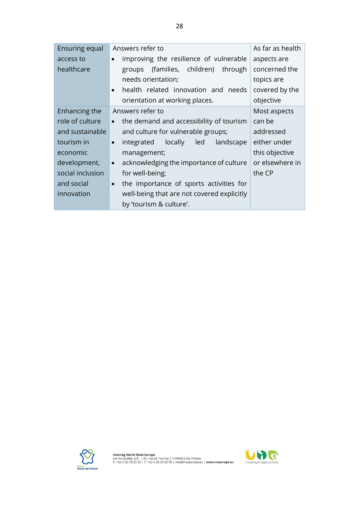| <b>Ensuring equal</b> | Answers refer to                                       | As far as health |
|-----------------------|--------------------------------------------------------|------------------|
| access to             | improving the resilience of vulnerable<br>$\bullet$    | aspects are      |
| healthcare            | (families, children)<br>through<br>groups              | concerned the    |
|                       | needs orientation;                                     | topics are       |
|                       | health related innovation and needs<br>$\bullet$       | covered by the   |
|                       | orientation at working places.                         | objective        |
| Enhancing the         | Answers refer to                                       | Most aspects     |
| role of culture       | the demand and accessibility of tourism<br>$\bullet$   | can be           |
| and sustainable       | and culture for vulnerable groups;                     | addressed        |
| tourism in            | locally<br>integrated<br>led<br>landscape<br>$\bullet$ | either under     |
| economic              | management;                                            | this objective   |
| development,          | acknowledging the importance of culture<br>$\bullet$   | or elsewhere in  |
| social inclusion      | for well-being;                                        | the CP           |
| and social            | the importance of sports activities for<br>$\bullet$   |                  |
| innovation            | well-being that are not covered explicitly             |                  |
|                       | by 'tourism & culture'.                                |                  |



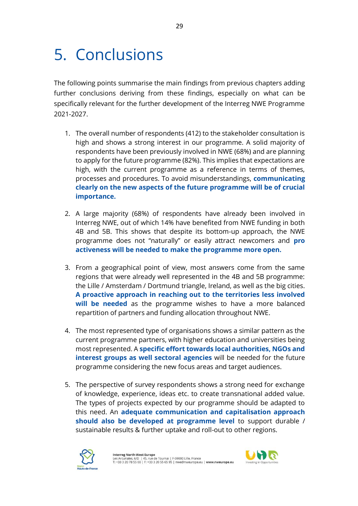## 5. Conclusions

The following points summarise the main findings from previous chapters adding further conclusions deriving from these findings, especially on what can be specifically relevant for the further development of the Interreg NWE Programme 2021-2027.

- 1. The overall number of respondents (412) to the stakeholder consultation is high and shows a strong interest in our programme. A solid majority of respondents have been previously involved in NWE (68%) and are planning to apply for the future programme (82%). This implies that expectations are high, with the current programme as a reference in terms of themes, processes and procedures. To avoid misunderstandings, **communicating clearly on the new aspects of the future programme will be of crucial importance.**
- 2. A large majority (68%) of respondents have already been involved in Interreg NWE, out of which 14% have benefited from NWE funding in both 4B and 5B. This shows that despite its bottom-up approach, the NWE programme does not "naturally" or easily attract newcomers and **pro activeness will be needed to make the programme more open.**
- 3. From a geographical point of view, most answers come from the same regions that were already well represented in the 4B and 5B programme: the Lille / Amsterdam / Dortmund triangle, Ireland, as well as the big cities. **A proactive approach in reaching out to the territories less involved will be needed** as the programme wishes to have a more balanced repartition of partners and funding allocation throughout NWE.
- 4. The most represented type of organisations shows a similar pattern as the current programme partners, with higher education and universities being most represented. A **specific effort towards local authorities, NGOs and interest groups as well sectoral agencies** will be needed for the future programme considering the new focus areas and target audiences.
- 5. The perspective of survey respondents shows a strong need for exchange of knowledge, experience, ideas etc. to create transnational added value. The types of projects expected by our programme should be adapted to this need. An **adequate communication and capitalisation approach should also be developed at programme level** to support durable / sustainable results & further uptake and roll-out to other regions.